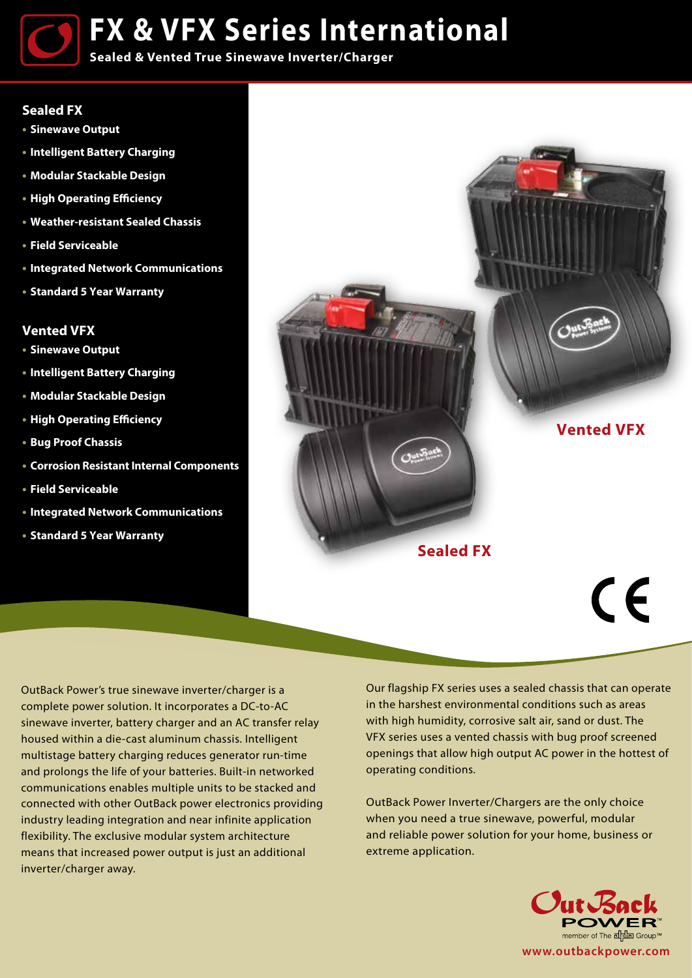**FX & VFX Series International**

**Sealed & Vented True Sinewave Inverter/Charger**

## **Sealed FX**

**• • •**

- **Sinewave Output**
- **Intelligent Battery Charging**
- **Modular Stackable Design**
- **High Operating Efficiency**
- **Weather-resistant Sealed Chassis**
- **Field Serviceable**
- **Integrated Network Communications**
- **Standard 5 Year Warranty**

## **Vented VFX**

- **Sinewave Output**
- **Intelligent Battery Charging**
- **Modular Stackable Design**
- **High Operating Efficiency**
- **Bug Proof Chassis**
- **Corrosion Resistant Internal Components**
- **Field Serviceable**
- **Integrated Network Communications**
- **Standard 5 Year Warranty**



OutBack Power's true sinewave inverter/charger is a complete power solution. It incorporates a DC-to-AC sinewave inverter, battery charger and an AC transfer relay housed within a die-cast aluminum chassis. Intelligent multistage battery charging reduces generator run-time and prolongs the life of your batteries. Built-in networked communications enables multiple units to be stacked and connected with other OutBack power electronics providing industry leading integration and near infinite application flexibility. The exclusive modular system architecture means that increased power output is just an additional inverter/charger away.

Our flagship FX series uses a sealed chassis that can operate in the harshest environmental conditions such as areas with high humidity, corrosive salt air, sand or dust. The VFX series uses a vented chassis with bug proof screened openings that allow high output AC power in the hottest of operating conditions.

OutBack Power Inverter/Chargers are the only choice when you need a true sinewave, powerful, modular and reliable power solution for your home, business or extreme application.